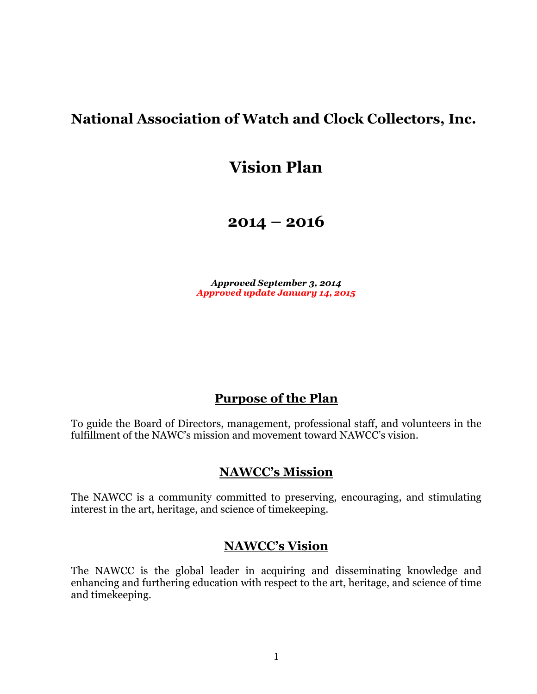# **National Association of Watch and Clock Collectors, Inc.**

# **Vision Plan**

**2014 – 2016**

*Approved September 3, 2014 Approved update January 14, 2015*

# **Purpose of the Plan**

To guide the Board of Directors, management, professional staff, and volunteers in the fulfillment of the NAWC's mission and movement toward NAWCC's vision.

# **NAWCC's Mission**

The NAWCC is a community committed to preserving, encouraging, and stimulating interest in the art, heritage, and science of timekeeping.

# **NAWCC's Vision**

The NAWCC is the global leader in acquiring and disseminating knowledge and enhancing and furthering education with respect to the art, heritage, and science of time and timekeeping.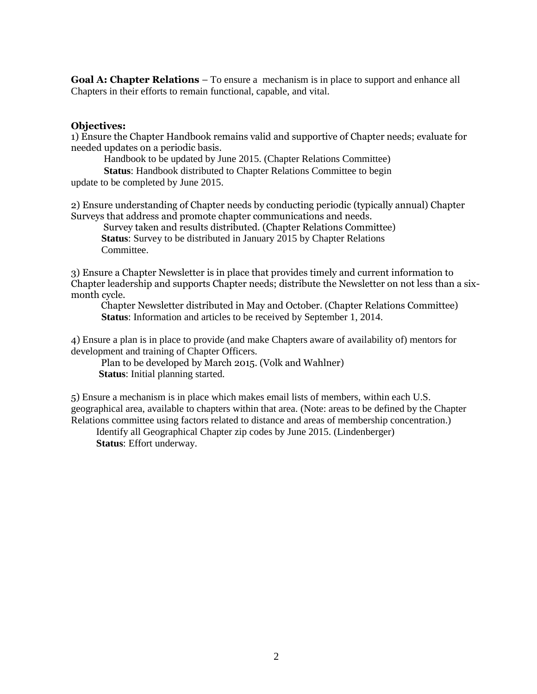**Goal A: Chapter Relations** – To ensure a mechanism is in place to support and enhance all Chapters in their efforts to remain functional, capable, and vital.

#### **Objectives:**

1) Ensure the Chapter Handbook remains valid and supportive of Chapter needs; evaluate for needed updates on a periodic basis.

Handbook to be updated by June 2015. (Chapter Relations Committee)

 **Status**: Handbook distributed to Chapter Relations Committee to begin update to be completed by June 2015.

2) Ensure understanding of Chapter needs by conducting periodic (typically annual) Chapter Surveys that address and promote chapter communications and needs.

 Survey taken and results distributed. (Chapter Relations Committee)  **Status**: Survey to be distributed in January 2015 by Chapter Relations Committee.

3) Ensure a Chapter Newsletter is in place that provides timely and current information to Chapter leadership and supports Chapter needs; distribute the Newsletter on not less than a sixmonth cycle.

 Chapter Newsletter distributed in May and October. (Chapter Relations Committee)  **Status**: Information and articles to be received by September 1, 2014.

4) Ensure a plan is in place to provide (and make Chapters aware of availability of) mentors for development and training of Chapter Officers.

 Plan to be developed by March 2015. (Volk and Wahlner)  **Status**: Initial planning started.

5) Ensure a mechanism is in place which makes email lists of members, within each U.S. geographical area, available to chapters within that area. (Note: areas to be defined by the Chapter Relations committee using factors related to distance and areas of membership concentration.)

 Identify all Geographical Chapter zip codes by June 2015. (Lindenberger)  **Status**: Effort underway.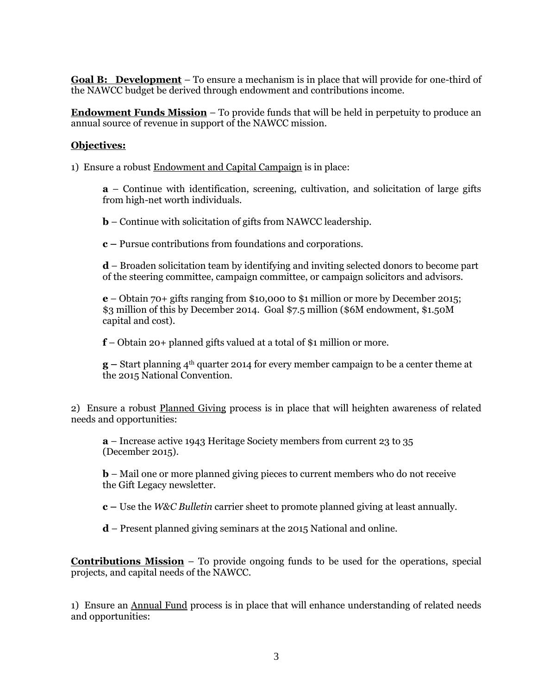**Goal B: Development** – To ensure a mechanism is in place that will provide for one-third of the NAWCC budget be derived through endowment and contributions income.

**Endowment Funds Mission** – To provide funds that will be held in perpetuity to produce an annual source of revenue in support of the NAWCC mission.

### **Objectives:**

1) Ensure a robust Endowment and Capital Campaign is in place:

**a** – Continue with identification, screening, cultivation, and solicitation of large gifts from high-net worth individuals.

**b** – Continue with solicitation of gifts from NAWCC leadership.

**c –** Pursue contributions from foundations and corporations.

**d** – Broaden solicitation team by identifying and inviting selected donors to become part of the steering committee, campaign committee, or campaign solicitors and advisors.

**e** – Obtain 70+ gifts ranging from \$10,000 to \$1 million or more by December 2015; \$3 million of this by December 2014. Goal \$7.5 million (\$6M endowment, \$1.50M capital and cost).

**f** – Obtain 20+ planned gifts valued at a total of \$1 million or more.

**g –** Start planning 4th quarter 2014 for every member campaign to be a center theme at the 2015 National Convention.

2) Ensure a robust Planned Giving process is in place that will heighten awareness of related needs and opportunities:

**a** – Increase active 1943 Heritage Society members from current 23 to 35 (December 2015).

**b** – Mail one or more planned giving pieces to current members who do not receive the Gift Legacy newsletter.

**c –** Use the *W&C Bulletin* carrier sheet to promote planned giving at least annually.

**d** – Present planned giving seminars at the 2015 National and online.

**Contributions Mission** – To provide ongoing funds to be used for the operations, special projects, and capital needs of the NAWCC.

1) Ensure an Annual Fund process is in place that will enhance understanding of related needs and opportunities: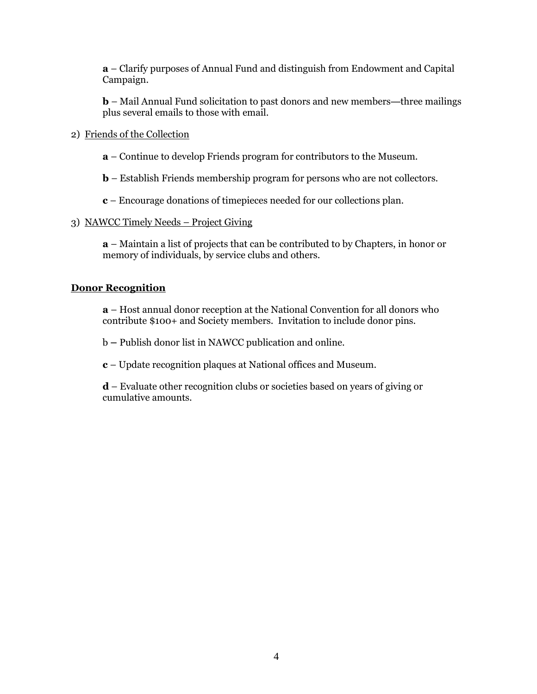**a** – Clarify purposes of Annual Fund and distinguish from Endowment and Capital Campaign.

**b** – Mail Annual Fund solicitation to past donors and new members—three mailings plus several emails to those with email.

- 2) Friends of the Collection
	- **a**  Continue to develop Friends program for contributors to the Museum.
	- **b**  Establish Friends membership program for persons who are not collectors.
	- **c**  Encourage donations of timepieces needed for our collections plan.

#### 3) NAWCC Timely Needs – Project Giving

**a** – Maintain a list of projects that can be contributed to by Chapters, in honor or memory of individuals, by service clubs and others.

#### **Donor Recognition**

**a** – Host annual donor reception at the National Convention for all donors who contribute \$100+ and Society members. Invitation to include donor pins.

b **–** Publish donor list in NAWCC publication and online.

**c** – Update recognition plaques at National offices and Museum.

**d** – Evaluate other recognition clubs or societies based on years of giving or cumulative amounts.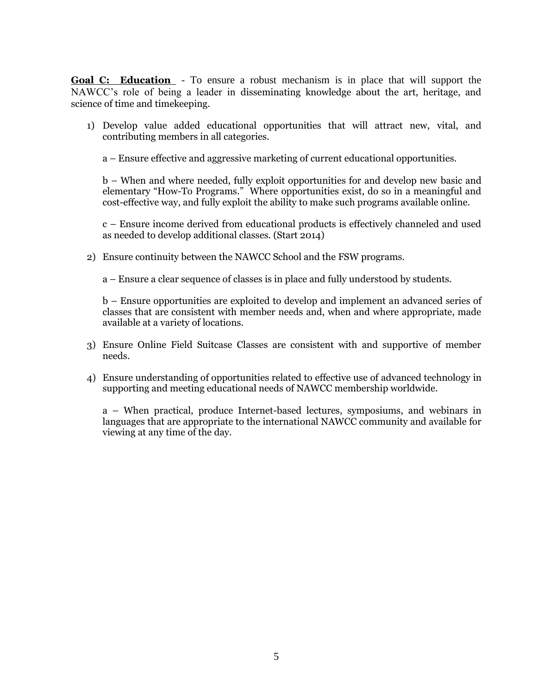**Goal C: Education** - To ensure a robust mechanism is in place that will support the NAWCC's role of being a leader in disseminating knowledge about the art, heritage, and science of time and timekeeping.

1) Develop value added educational opportunities that will attract new, vital, and contributing members in all categories.

a – Ensure effective and aggressive marketing of current educational opportunities.

b – When and where needed, fully exploit opportunities for and develop new basic and elementary "How-To Programs." Where opportunities exist, do so in a meaningful and cost-effective way, and fully exploit the ability to make such programs available online.

c – Ensure income derived from educational products is effectively channeled and used as needed to develop additional classes. (Start 2014)

2) Ensure continuity between the NAWCC School and the FSW programs.

a – Ensure a clear sequence of classes is in place and fully understood by students.

b – Ensure opportunities are exploited to develop and implement an advanced series of classes that are consistent with member needs and, when and where appropriate, made available at a variety of locations.

- 3) Ensure Online Field Suitcase Classes are consistent with and supportive of member needs.
- 4) Ensure understanding of opportunities related to effective use of advanced technology in supporting and meeting educational needs of NAWCC membership worldwide.

a – When practical, produce Internet-based lectures, symposiums, and webinars in languages that are appropriate to the international NAWCC community and available for viewing at any time of the day.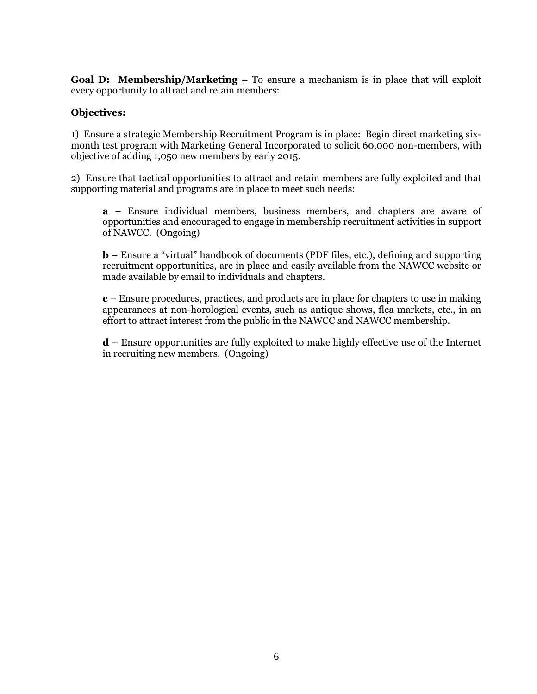**Goal D: Membership/Marketing** – To ensure a mechanism is in place that will exploit every opportunity to attract and retain members:

# **Objectives:**

1) Ensure a strategic Membership Recruitment Program is in place: Begin direct marketing sixmonth test program with Marketing General Incorporated to solicit 60,000 non-members, with objective of adding 1,050 new members by early 2015.

2) Ensure that tactical opportunities to attract and retain members are fully exploited and that supporting material and programs are in place to meet such needs:

**a** – Ensure individual members, business members, and chapters are aware of opportunities and encouraged to engage in membership recruitment activities in support of NAWCC. (Ongoing)

**b** – Ensure a "virtual" handbook of documents (PDF files, etc.), defining and supporting recruitment opportunities, are in place and easily available from the NAWCC website or made available by email to individuals and chapters.

**c** – Ensure procedures, practices, and products are in place for chapters to use in making appearances at non-horological events, such as antique shows, flea markets, etc., in an effort to attract interest from the public in the NAWCC and NAWCC membership.

**d** – Ensure opportunities are fully exploited to make highly effective use of the Internet in recruiting new members. (Ongoing)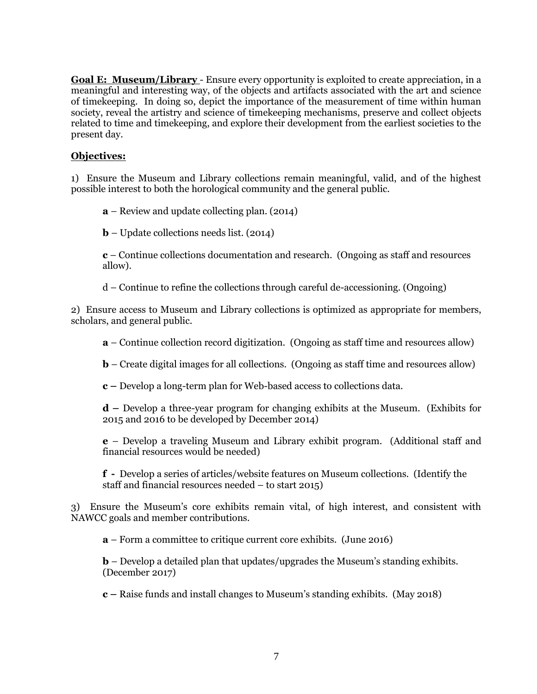**Goal E: Museum/Library** - Ensure every opportunity is exploited to create appreciation, in a meaningful and interesting way, of the objects and artifacts associated with the art and science of timekeeping. In doing so, depict the importance of the measurement of time within human society, reveal the artistry and science of timekeeping mechanisms, preserve and collect objects related to time and timekeeping, and explore their development from the earliest societies to the present day.

# **Objectives:**

1) Ensure the Museum and Library collections remain meaningful, valid, and of the highest possible interest to both the horological community and the general public.

**a** – Review and update collecting plan. (2014)

**b** – Update collections needs list. (2014)

**c** – Continue collections documentation and research. (Ongoing as staff and resources allow).

d – Continue to refine the collections through careful de-accessioning. (Ongoing)

2) Ensure access to Museum and Library collections is optimized as appropriate for members, scholars, and general public.

**a** – Continue collection record digitization. (Ongoing as staff time and resources allow)

**b** – Create digital images for all collections. (Ongoing as staff time and resources allow)

**c –** Develop a long-term plan for Web-based access to collections data.

**d –** Develop a three-year program for changing exhibits at the Museum. (Exhibits for 2015 and 2016 to be developed by December 2014)

**e** – Develop a traveling Museum and Library exhibit program. (Additional staff and financial resources would be needed)

**f -** Develop a series of articles/website features on Museum collections. (Identify the staff and financial resources needed – to start 2015)

3) Ensure the Museum's core exhibits remain vital, of high interest, and consistent with NAWCC goals and member contributions.

**a** – Form a committee to critique current core exhibits. (June 2016)

**b** – Develop a detailed plan that updates/upgrades the Museum's standing exhibits. (December 2017)

**c –** Raise funds and install changes to Museum's standing exhibits. (May 2018)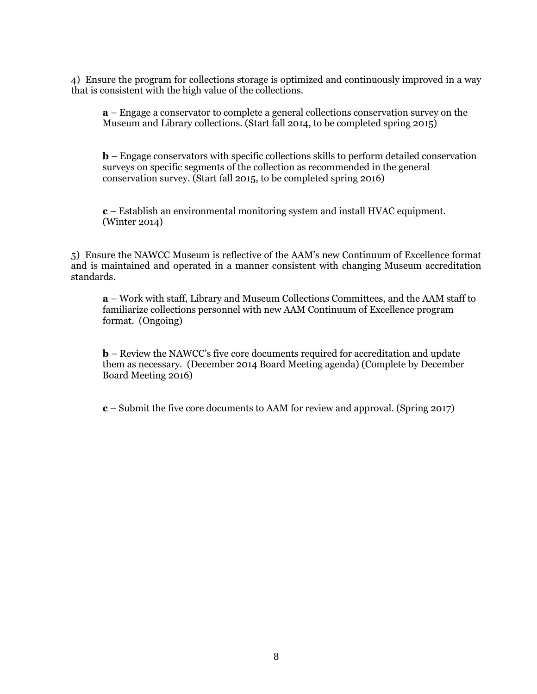4) Ensure the program for collections storage is optimized and continuously improved in a way that is consistent with the high value of the collections.

**a** – Engage a conservator to complete a general collections conservation survey on the Museum and Library collections. (Start fall 2014, to be completed spring 2015)

**b** – Engage conservators with specific collections skills to perform detailed conservation surveys on specific segments of the collection as recommended in the general conservation survey. (Start fall 2015, to be completed spring 2016)

**c** – Establish an environmental monitoring system and install HVAC equipment. (Winter 2014)

5) Ensure the NAWCC Museum is reflective of the AAM's new Continuum of Excellence format and is maintained and operated in a manner consistent with changing Museum accreditation standards.

**a** – Work with staff, Library and Museum Collections Committees, and the AAM staff to familiarize collections personnel with new AAM Continuum of Excellence program format. (Ongoing)

**b** – Review the NAWCC's five core documents required for accreditation and update them as necessary. (December 2014 Board Meeting agenda) (Complete by December Board Meeting 2016)

**c** – Submit the five core documents to AAM for review and approval. (Spring 2017)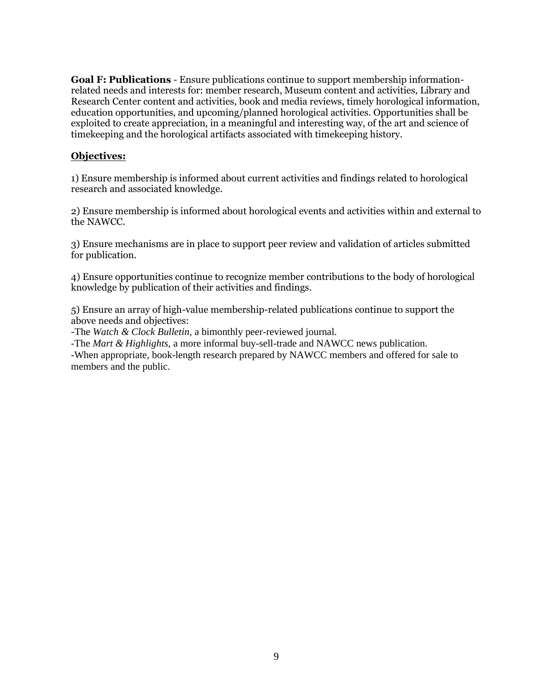**Goal F: Publications** - Ensure publications continue to support membership informationrelated needs and interests for: member research, Museum content and activities, Library and Research Center content and activities, book and media reviews, timely horological information, education opportunities, and upcoming/planned horological activities. Opportunities shall be exploited to create appreciation, in a meaningful and interesting way, of the art and science of timekeeping and the horological artifacts associated with timekeeping history.

### **Objectives:**

1) Ensure membership is informed about current activities and findings related to horological research and associated knowledge.

2) Ensure membership is informed about horological events and activities within and external to the NAWCC.

3) Ensure mechanisms are in place to support peer review and validation of articles submitted for publication.

4) Ensure opportunities continue to recognize member contributions to the body of horological knowledge by publication of their activities and findings.

5) Ensure an array of high-value membership-related publications continue to support the above needs and objectives:

-The *Watch & Clock Bulletin,* a bimonthly peer-reviewed journal.

-The *Mart & Highlights*, a more informal buy-sell-trade and NAWCC news publication.

-When appropriate, book-length research prepared by NAWCC members and offered for sale to members and the public.